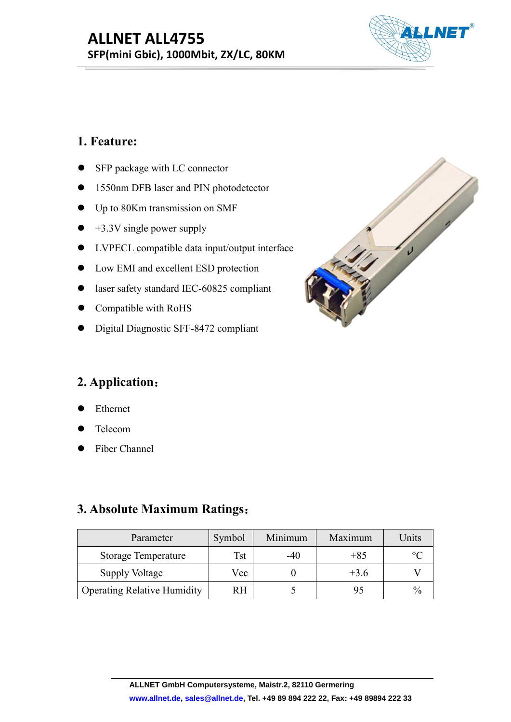# **ALLNET ALL4755**<br>SFP(mini Gbic), 1000Mbit, ZX/LC, 80KM<br>1. Feature:<br>• SFP package with LC connector<br>• 1550nm DFB laser and PIN photodetector **ALLNET ALL4755**<br>
SFP (mini Gbic), 1000Mbit, ZX/LC, 80KM<br>
1. Feature:<br>
• SFP package with LC connector<br>
• 1550nm DFB laser and PIN photodetector<br>
• Up to 80Km transmission on SMF **ALLNET ALL4755 SFP(mini Gbic), 1000Mbit, ZX/LC, 80KM**



- 
- 
- 
- 
- 
- 
- 
- 
- <ul>\n<li> Compute with RoHS</li>\n<li> Digital Diagnostic SFF-8472 compliant</li>\n<li> Application:</li>\n<li> Ethernet</li>\n<li> Telephone</li>\n<li> Fiber Channel</li>\n</ul>

- Ethernet
- Telecom
- 

| 2. Application:                           |            |              |         |                 |
|-------------------------------------------|------------|--------------|---------|-----------------|
| Ethernet<br>$\bullet$                     |            |              |         |                 |
| Telecom<br>$\bullet$                      |            |              |         |                 |
| Fiber Channel<br>$\bullet$                |            |              |         |                 |
|                                           |            |              |         |                 |
| 3. Absolute Maximum Ratings:<br>Parameter | Symbol     | Minimum      | Maximum | Units           |
| <b>Storage Temperature</b>                | <b>Tst</b> | $-40$        | $+85$   | $\rm ^{\circ}C$ |
| <b>Supply Voltage</b>                     | Vcc        | $\mathbf{0}$ | $+3.6$  | V               |

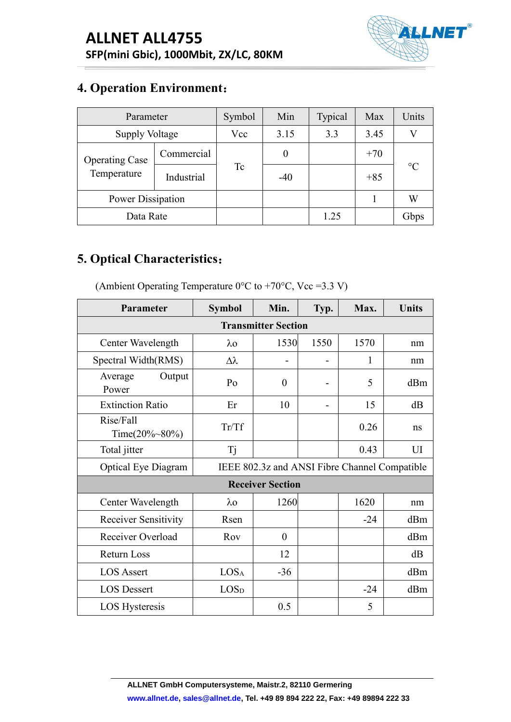

| <b>ALLNET ALL4755</b><br>SFP(mini Gbic), 1000Mbit, ZX/LC, 80KM<br><b>4. Operation Environment:</b><br>Symbol<br>Parameter<br>Min<br>Typical<br>Units<br>Max<br><b>Supply Voltage</b><br>Vcc<br>3.15<br>3.3<br>3.45<br>$\mathbf{V}$<br>Commercial<br>$\boldsymbol{0}$<br>$+70$<br><b>Operating Case</b><br>$\rm ^{\circ}C$<br><b>Tc</b><br>Temperature<br>Industrial<br>$-40$<br>$+85$<br>Power Dissipation<br>W<br>$\mathbf{1}$<br>Data Rate |  |  |                            |      |      |      |                |
|----------------------------------------------------------------------------------------------------------------------------------------------------------------------------------------------------------------------------------------------------------------------------------------------------------------------------------------------------------------------------------------------------------------------------------------------|--|--|----------------------------|------|------|------|----------------|
|                                                                                                                                                                                                                                                                                                                                                                                                                                              |  |  |                            |      |      |      |                |
|                                                                                                                                                                                                                                                                                                                                                                                                                                              |  |  |                            |      |      |      |                |
|                                                                                                                                                                                                                                                                                                                                                                                                                                              |  |  |                            |      |      |      |                |
|                                                                                                                                                                                                                                                                                                                                                                                                                                              |  |  |                            |      |      |      | <b>ALLNET®</b> |
|                                                                                                                                                                                                                                                                                                                                                                                                                                              |  |  |                            |      |      |      |                |
|                                                                                                                                                                                                                                                                                                                                                                                                                                              |  |  |                            |      |      |      |                |
|                                                                                                                                                                                                                                                                                                                                                                                                                                              |  |  |                            |      |      |      |                |
|                                                                                                                                                                                                                                                                                                                                                                                                                                              |  |  |                            |      |      |      |                |
|                                                                                                                                                                                                                                                                                                                                                                                                                                              |  |  |                            |      |      |      |                |
|                                                                                                                                                                                                                                                                                                                                                                                                                                              |  |  |                            |      |      |      |                |
|                                                                                                                                                                                                                                                                                                                                                                                                                                              |  |  |                            |      | 1.25 |      | Gbps           |
|                                                                                                                                                                                                                                                                                                                                                                                                                                              |  |  |                            | Min. | Typ. | Max. | <b>Units</b>   |
| Parameter<br><b>Symbol</b>                                                                                                                                                                                                                                                                                                                                                                                                                   |  |  | <b>Transmitter Section</b> |      |      |      |                |

| Temperature                                                                                                   | Industrial     |                  | $-40$                        |                              | $+85$                                         |              |
|---------------------------------------------------------------------------------------------------------------|----------------|------------------|------------------------------|------------------------------|-----------------------------------------------|--------------|
| Power Dissipation                                                                                             |                |                  |                              |                              | $\mathbf{1}$                                  | W            |
| Data Rate                                                                                                     |                |                  |                              | 1.25                         |                                               | Gbps         |
| 5. Optical Characteristics:<br>(Ambient Operating Temperature $0^{\circ}$ C to +70 $^{\circ}$ C, Vcc = 3.3 V) |                |                  |                              |                              |                                               |              |
| Parameter                                                                                                     |                | <b>Symbol</b>    | Min.                         | Typ.                         | Max.                                          | <b>Units</b> |
|                                                                                                               |                |                  | <b>Transmitter Section</b>   |                              |                                               |              |
| Center Wavelength                                                                                             |                | $\lambda$ o      | 1530                         | 1550                         | 1570                                          | nm           |
| Spectral Width(RMS)                                                                                           |                | $\Delta \lambda$ | $\qquad \qquad \blacksquare$ | $\qquad \qquad \blacksquare$ | $\mathbf{1}$                                  | nm           |
| Average<br>Power                                                                                              | Output         | Po               | $\boldsymbol{0}$             | $\overline{\phantom{a}}$     | 5                                             | dBm          |
| <b>Extinction Ratio</b>                                                                                       |                | Er               | 10                           | $\qquad \qquad \blacksquare$ | 15                                            | dB           |
| Rise/Fall<br>Time $(20\%~80\%)$                                                                               |                | Tr/Tf            |                              |                              | 0.26                                          | ns           |
| Total jitter                                                                                                  |                | <b>Tj</b>        |                              |                              | 0.43                                          | UI           |
| <b>Optical Eye Diagram</b>                                                                                    |                |                  |                              |                              | IEEE 802.3z and ANSI Fibre Channel Compatible |              |
|                                                                                                               |                |                  | <b>Receiver Section</b>      |                              |                                               |              |
| Center Wavelength                                                                                             |                | $\lambda$ o      | 1260                         |                              | 1620                                          | nm           |
| <b>Receiver Sensitivity</b>                                                                                   |                | Rsen             |                              |                              | $-24$                                         | dBm          |
| Receiver Overload                                                                                             |                | Rov              | $\boldsymbol{0}$             |                              |                                               | dBm          |
| Return Loss                                                                                                   |                |                  | 12                           |                              |                                               | dB           |
| <b>LOS Assert</b>                                                                                             |                | LOS <sub>A</sub> | $-36$                        |                              |                                               | dBm          |
| <b>LOS Dessert</b>                                                                                            |                | LOS <sub>D</sub> |                              |                              | $-24$                                         | dBm          |
|                                                                                                               | LOS Hysteresis |                  | 0.5                          |                              | 5                                             |              |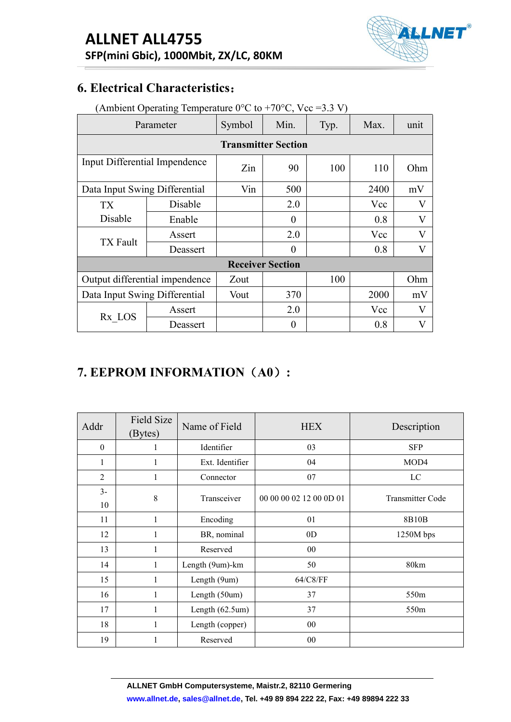

|                                       | <b>ALLNET ALL4755</b><br>SFP(mini Gbic), 1000Mbit, ZX/LC, 80KM                              |                    |        |                            |      |            | <b>ALLNET®</b>             |
|---------------------------------------|---------------------------------------------------------------------------------------------|--------------------|--------|----------------------------|------|------------|----------------------------|
| <b>6. Electrical Characteristics:</b> |                                                                                             |                    |        |                            |      |            |                            |
|                                       | (Ambient Operating Temperature $0^{\circ}$ C to +70 $^{\circ}$ C, Vcc = 3.3 V)<br>Parameter |                    | Symbol | Min.                       | Typ. | Max.       | unit                       |
|                                       |                                                                                             |                    |        | <b>Transmitter Section</b> |      |            |                            |
| Input Differential Impendence         |                                                                                             |                    | Zin    | 90                         | 100  | 110        | Ohm                        |
| Data Input Swing Differential         |                                                                                             | Vin                | 500    |                            | 2400 | mV         |                            |
| <b>TX</b>                             |                                                                                             | Disable            |        | 2.0                        |      | Vcc        | V                          |
| Disable                               |                                                                                             | Enable             |        | $\mathbf{0}$               |      | 0.8        | V                          |
|                                       |                                                                                             | Assert             |        | 2.0                        |      | Vcc        | $\mathbf V$                |
|                                       | <b>TX</b> Fault<br>Deassert                                                                 |                    |        | $\overline{0}$             |      | 0.8        | $\mathbf{V}$               |
|                                       |                                                                                             |                    |        | <b>Receiver Section</b>    |      |            |                            |
| Output differential impendence        |                                                                                             |                    | Zout   |                            | 100  |            | Ohm                        |
| Data Input Swing Differential         |                                                                                             |                    | Vout   | 370                        |      | 2000       | mV                         |
| $Rx\_LOS$                             |                                                                                             | Assert<br>Deassert |        | 2.0<br>$\boldsymbol{0}$    |      | Vcc<br>0.8 | $\mathbf V$<br>$\mathbf V$ |
|                                       |                                                                                             |                    |        |                            |      |            |                            |

|                               |           |                   | Output differential impendence | Zout                      |             |                  | 100                     |  |      | Ohm              |             |  |
|-------------------------------|-----------|-------------------|--------------------------------|---------------------------|-------------|------------------|-------------------------|--|------|------------------|-------------|--|
| Data Input Swing Differential |           |                   |                                |                           | 370<br>Vout |                  |                         |  | 2000 |                  |             |  |
|                               |           |                   |                                |                           | Assert      |                  | 2.0                     |  | Vcc  |                  | $\mathbf V$ |  |
|                               | $Rx\_LOS$ |                   | Deassert                       |                           |             | $\boldsymbol{0}$ |                         |  | 0.8  | $\mathbf{V}$     |             |  |
|                               |           |                   | 7. EEPROM INFORMATION (A0):    |                           |             |                  |                         |  |      |                  |             |  |
| Addr                          | (Bytes)   | <b>Field Size</b> | Name of Field                  |                           |             | <b>HEX</b>       |                         |  |      | Description      |             |  |
| $\boldsymbol{0}$              |           | $\mathbf{1}$      | Identifier                     |                           |             | 03               |                         |  |      | <b>SFP</b>       |             |  |
| $\mathbf{1}$                  |           | $\mathbf{1}$      |                                | Ext. Identifier           |             | 04               |                         |  | MOD4 |                  |             |  |
| $\overline{2}$                |           | $\mathbf{1}$      |                                | Connector                 |             | $07\,$           |                         |  |      | $_{\rm LC}$      |             |  |
| $3-$                          |           | $8\,$             |                                | Transceiver               |             |                  | 00 00 00 02 12 00 0D 01 |  |      | Transmitter Code |             |  |
| 10                            |           |                   |                                |                           |             |                  |                         |  |      |                  |             |  |
| 11                            |           | $\mathbf{1}$      |                                | Encoding                  |             | 01               |                         |  |      | 8B10B            |             |  |
| 12                            |           | $\,1$             |                                | BR, nominal               |             | 0 <sub>D</sub>   |                         |  |      | 1250M bps        |             |  |
| 13                            |           | $\mathbf{1}$      | Reserved                       |                           |             | 00               |                         |  |      |                  |             |  |
| 14                            |           | $\mathbf{1}$      | Length (9um)-km                |                           |             | 50               |                         |  |      | 80km             |             |  |
| 15                            |           | $\mathbf{1}$      | Length (9um)                   |                           |             | 64/C8/FF         |                         |  |      |                  |             |  |
| 16                            |           | $\mathbf{1}$      |                                | Length (50um)             |             | 37               |                         |  |      | 550m             |             |  |
| 17                            |           | $\mathbf{1}$      |                                | Length $(62.5 \text{um})$ |             | 37               |                         |  |      | 550m             |             |  |
| 18                            |           | $\mathbf{1}$      |                                | Length (copper)           |             | 00               |                         |  |      |                  |             |  |
|                               |           | $\mathbf{1}$      |                                | Reserved                  |             | $00\,$           |                         |  |      |                  |             |  |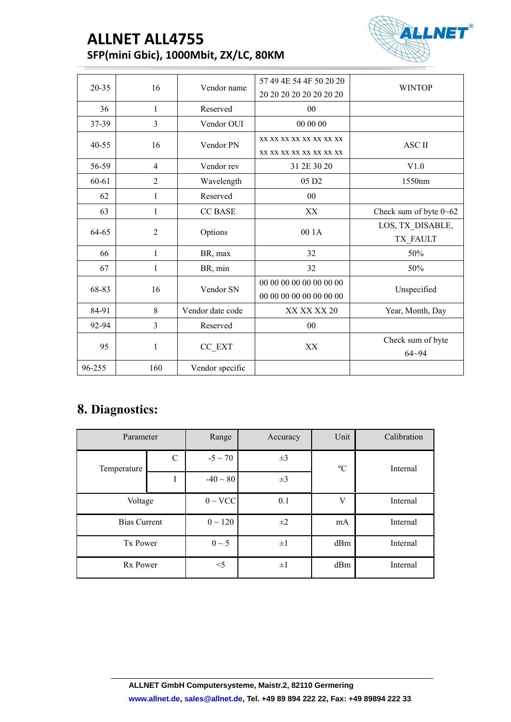# **ALLNET ALL4755 SFP(mini Gbic), 1000Mbit, ZX/LC, 80KM**



|        | <b>ALLNET ALL4755</b> | SFP(mini Gbic), 1000Mbit, ZX/LC, 80KM |                                                    | <b>ALLNET®</b>                 |  |
|--------|-----------------------|---------------------------------------|----------------------------------------------------|--------------------------------|--|
|        |                       |                                       | 57 49 4E 54 4F 50 20 20                            |                                |  |
| 20-35  | 16                    | Vendor name                           | 20 20 20 20 20 20 20 20                            | <b>WINTOP</b>                  |  |
| 36     | $\mathbf{1}$          | Reserved                              | 00                                                 |                                |  |
| 37-39  | $\overline{3}$        | Vendor OUI                            | 00 00 00                                           |                                |  |
| 40-55  | 16                    | Vendor PN                             | XX XX XX XX XX XX XX XX                            | ASC II                         |  |
|        |                       |                                       | XX XX XX XX XX XX XX XX                            |                                |  |
| 56-59  | $\overline{4}$        | Vendor rev                            | 31 2E 30 20                                        | V1.0                           |  |
| 60-61  | $\overline{2}$        | Wavelength                            | 05 D <sub>2</sub>                                  | 1550nm                         |  |
| 62     | 1                     | Reserved                              | 00                                                 |                                |  |
| 63     | $\mathbf{1}$          | <b>CC BASE</b>                        | XX                                                 | Check sum of byte 0~62         |  |
|        |                       |                                       | 00 1A                                              | LOS, TX_DISABLE,               |  |
| 64-65  | $\overline{2}$        | Options                               |                                                    | TX_FAULT                       |  |
| 66     | $\mathbf{1}$          | BR, max                               | 32                                                 | 50%                            |  |
| 67     | 1                     | BR, min                               | 32                                                 | 50%                            |  |
| 68-83  | 16                    | Vendor SN                             | 00 00 00 00 00 00 00 00<br>00 00 00 00 00 00 00 00 | Unspecified                    |  |
| 84-91  | 8                     | Vendor date code                      | XX XX XX 20                                        | Year, Month, Day               |  |
| 92-94  | $\overline{3}$        | Reserved                              | 00                                                 |                                |  |
| 95     | $\mathbf{1}$          | $CC$ $EXT$                            | $\mathbf{X}\mathbf{X}$                             | Check sum of byte<br>$64 - 94$ |  |
| 96-255 | 160                   | Vendor specific                       |                                                    |                                |  |

### **8. Diagnostics:**

| 95              |                     | $\,1\,$     | CC_EXT              | XX       |             | Check sum of byte<br>$64 - 94$ |
|-----------------|---------------------|-------------|---------------------|----------|-------------|--------------------------------|
| 96-255          |                     | 160         | Vendor specific     |          |             |                                |
| 8. Diagnostics: |                     |             |                     |          |             |                                |
|                 | Parameter           |             | Range               | Accuracy | Unit        | Calibration                    |
| Temperature     |                     | $\mathbf C$ | $-5 \sim 70$        | $\pm 3$  | $\rm ^{o}C$ | Internal                       |
|                 |                     | $\rm I$     | $-40 \sim 80$       | $\pm 3$  |             |                                |
|                 | Voltage             |             | $0 \sim \text{VCC}$ | 0.1      | $\mathbf V$ | Internal                       |
|                 | <b>Bias Current</b> |             | $0 \sim 120$        | $\pm 2$  | $\rm mA$    | Internal                       |
|                 | Tx Power            |             | $0 \sim 5$          | $\pm 1$  | $dBm$       | Internal                       |
|                 | Rx Power            |             | $<$ 5               | $\pm 1$  | dBm         | Internal                       |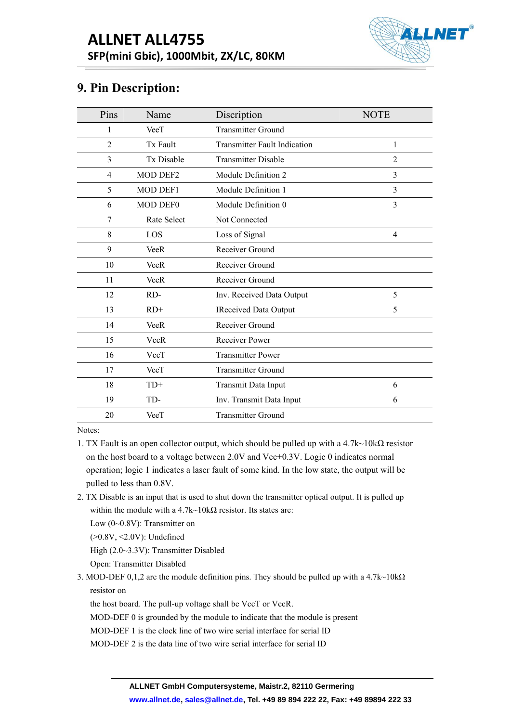

|      | <b>ALLNET ALL4755</b> |                                       | <b>ALLNE</b>   |
|------|-----------------------|---------------------------------------|----------------|
|      | 9. Pin Description:   | SFP(mini Gbic), 1000Mbit, ZX/LC, 80KM |                |
| Pins | Name                  | Discription                           | <b>NOTE</b>    |
| 1    | VeeT                  | <b>Transmitter Ground</b>             |                |
| 2    | Tx Fault              | <b>Transmitter Fault Indication</b>   | 1              |
| 3    | Tx Disable            | <b>Transmitter Disable</b>            | $\overline{2}$ |
| 4    | MOD DEF2              | Module Definition 2                   | 3              |
| 5    | MOD DEF1              | Module Definition 1                   | 3              |
| 6    | MOD DEF0              | Module Definition 0                   | 3              |
| 7    | Rate Select           | Not Connected                         |                |
| 8    | LOS                   | Loss of Signal                        | $\overline{4}$ |
| 9    | <b>VeeR</b>           | Receiver Ground                       |                |
| 10   | <b>VeeR</b>           | Receiver Ground                       |                |
| 11   | VeeR                  | Receiver Ground                       |                |
| 12   | RD-                   | Inv. Received Data Output             | 5              |
| 13   | $RD+$                 | <b>IReceived Data Output</b>          | 5              |
| 14   | <b>VeeR</b>           | Receiver Ground                       |                |
| 15   | <b>VccR</b>           | Receiver Power                        |                |
| 16   | VccT                  | <b>Transmitter Power</b>              |                |
| 17   | VeeT                  | <b>Transmitter Ground</b>             |                |
|      | $TD+$                 | Transmit Data Input                   | 6              |
| 18   |                       |                                       |                |
| 19   | TD-                   | Inv. Transmit Data Input              | 6              |

- WE THE TRANSFILL THE MUSLE THE MODE TO WELL THE MOVED THE MOVED TRANSFILLED SET THE MOVED TRANSFILLED THAND THE MOVED AND NOTE THAND THE MOVED AND DETENDING THE MOVED AND DEVIDEND OF THE MOVED AND DEVIDEND OF THE MOVED O 19 TD- Inv. Transmit Data Input<br>
20 VeeT Transmitter Ground<br>
es:<br>
X Fault is an open collector output, which should be pulled up<br>
n the host board to a voltage between 2.0V and Vcc+0.3V. Log<br>
peration; logic 1 indicates a 20 VeeT Transmitter Grounces:<br>
EX Fault is an open collector output, which should be<br>
in the host board to a voltage between 2.0V and Vcc+<br>
peration; logic 1 indicates a laser fault of some kind.<br>
ulled to less than 0.8V High (2.0~3.3V): Transmitter Disabled X Fault is an open collector output, which should be p<br>n the host board to a voltage between 2.0V and Vcc+0.<br>peration; logic 1 indicates a laser fault of some kind. In<br>ulled to less than 0.8V.<br>X Disable is an input that i on the host board to a voltage between 2.0V and Vcc+0.3V. Logic 0 indicates normal<br>operation; logic 1 indicates a laser fault of some kind. In the low state, the output will be<br>pulled to less than 0.8V.<br>2. TX Disable is peration; logic 1 indicates a laser fault of soulled to less than 0.8V.<br>
X Disable is an input that is used to shut down<br>
within the module with a 4.7k~10kΩ resistor. I<br>
Low (0~0.8V): Transmitter on<br>
(>0.8V, <2.0V): Unde
- ulled to less than 0.8V.<br>
The Visable is an input that is used to shut down the transmitter optical output. It is pulled up<br>
within the module with a 4.7k~10kΩ resistor. Its states are:<br>
Low (0~0.8V): Transmitter on<br>
(>0 X Disable is an input that is used to shut down the transmitter optical output. It is pulled up<br>within the module with a 4.7k~10kΩ resistor. Its states are:<br>Low (0~0.8V): Transmitter on<br>(>0.8V, <2.0V): Undefined<br>High (2.
	-
	-

- 
- within the module with a 4.7k~10k $\Omega$  resistor. Its states are:<br>
Low (0-0.8V): Transmitter on<br>
(>0.8V, <2.0V): Undefined<br>
High (2.0~3.3V): Transmitter Disabled<br>
Open: Transmitter Disabled<br>
MOD-DEF 0,1,2 are the module def Low (0-0.8V): Transmitter on<br>
(>0.8V, <2.0V): Undefined<br>
High (2.0~3.3V): Transmitter Disabled<br>
Open: Transmitter Disabled<br>
MOD-DEF 0,1,2 are the module definition pins. They should be pulled up with a 4.7k~10kΩ<br>
resistor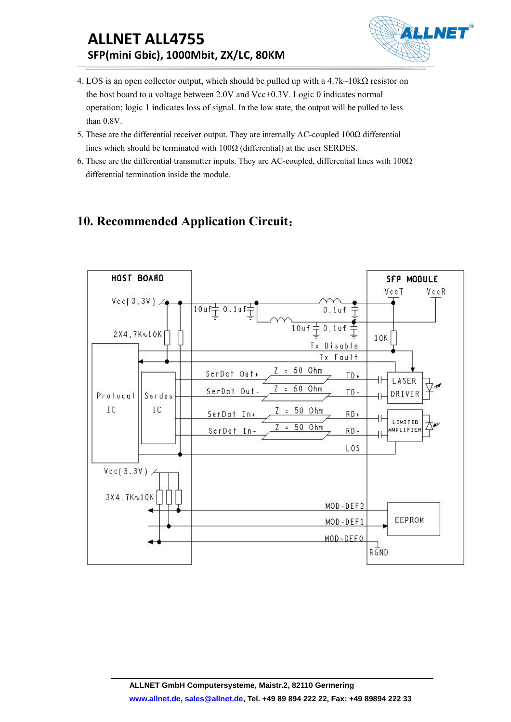## **ALLNET ALL4755 SFP(mini Gbic), 1000Mbit, ZX/LC, 80KM**



- **ALLNET ALL4755**<br> **SFP(mini Gbic), 1000Mbit, ZX/LC, 80KM**<br>
4. LOS is an open collector output, which should be pulled up with a 4.7k~10kΩ resistor on<br>
the host board to a voltage between 2.0V and Vcc+0.3V. Logic 0 indicat **ALLNET ALL4755**<br> **SFP(mini Gbic), 1000Mbit, ZX/LC, 80KM**<br>
LOS is an open collector output, which should be pulled up with a 4.7k~10k $\Omega$  resistor on<br>
the host board to a voltage between 2.0V and Vcc+0.3V. Logic 0 indicat **ALLNET ALL4755**<br> **SFP(mini Gbic), 1000Mbit, ZX/LC, 80KM**<br>
LOS is an open collector output, which should be pulled up with a 4.7k~10kΩ resistor on<br>
the host board to a voltage between 2.0V and Vcc+0.3V. Logic 0 indicates **ALLNET ALL4755**<br>**SFP(mini Gbic), 1000Mbit, ZX,**<br>LOS is an open collector output, which sh<br>the host board to a voltage between 2.0V<br>operation; logic 1 indicates loss of signal.<br>than 0.8V.<br>These are the differential receive **ALLNET ALL4755**<br> **SFP(mini Gbic), 1000Mbit, ZX/LC, 80KM**<br>
4. LOS is an open collector output, which should be pulled up with a 4.7k~10kΩ resistor on<br>
the host board to a voltage between 2.0V and Vcc+0.3V. Logic 0 indicat **ALLNET ALL4755**<br> **SFP(mini Gbic), 1000Mbit, ZX/LC, 80KM**<br>
LOS is an open collector output, which should be pulled up with a 4.7k~10kΩ resistor on<br>
the host board to a voltage between 2.0V and Vcc+0.3V. Logic 0 indicates **ALLNET ALL4755**<br>**SFP(mini Gbic), 1000Mbit, ZX/LC, 80KM**<br>4. LOS is an open collector output, which should be pulled up with a 4.7k~10k $\Omega$  resistor on<br>the host board to a voltage between 2.0V and Vcc+0.3V. Logic 0 indicat **SFP(mini Gbic), 1000Mbit, ZX/LC, 80KM**<br>
LOS is an open collector output, which should be pulled up with a 4.<br>
the host board to a voltage between 2.0V and Vcc+0.3V. Logic 0 ind<br>
operation; logic 1 indicates loss of signa **10. RECOMMENT ALLATER SET SET ALLATES SET ALLATES SPEP (mini Gbic), 10000Mbit, ZX/LC, 80KM**<br>
4. I.OS is an open collector output, which should be pulled up with a 4.7k-10kΩ resistor on<br>
the host board to a voltage between
- 
-